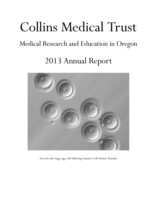# Collins Medical Trust

# Medical Research and Education in Oregon

2013 Annual Report



Several early-stage egg cells following Somatic Cell Nuclear Transfer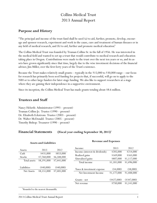# Collins Medical Trust 2013 Annual Report

# **Purpose and History**

"The principal and income of the trust fund shall be used (a) to aid, further, promote, develop, encourage and sponsor research, experiment and work in the cause, cure and treatment of human diseases or in any field of medical research, and (b) to aid, further and promote medical education."

The Collins Medical Trust was founded by Truman Collins Sr. in the fall of 1956. He was interested in the medical field and wanted to set up a trust that would contribute to medical research and education taking place in Oregon. Contributions were made to the trust over the next ten years or so, and its assets have grown significantly since that time, largely due to the wise investment decisions of the financial adviser, Jim Miller, over the first forty years of the Trust's existence.

Because the Trust makes relatively small grants—typically in the \$15,000 to \$30,000 range—our focus for research has primarily been seed funding for projects that, if successful, will go on to apply to the NIH or to other large funders for later-stage funding. We also like to support researchers at a stage where they are gaining their independence in a supportive environment.

Since its inception, the Collins Medical Trust has made grants totaling about \$8.6 million.

### **Trustees and Staff**

Nancy Helseth: Administrator (1993 – present) Truman Collins Jr.: Trustee (1990 – present) Dr. Elizabeth Eckstrom: Trustee (2003 – present) Dr. Walter McDonald: Trustee (2005 – present) Timothy Bishop: Treasurer (1990 – present)

# **Financial Statements (Fiscal year ending September 30, 2013)** 1

| <b>Assets and Liabilities</b> |                            |                            |                                                     |                           |                            |
|-------------------------------|----------------------------|----------------------------|-----------------------------------------------------|---------------------------|----------------------------|
| Assets:                       | 2013                       | 2012                       | Income:                                             | 2013                      | 2012                       |
|                               |                            |                            | Income (interest & dividends)                       | \$205,000                 | \$214,000                  |
| Cash                          | \$431,000                  | \$853,000                  | Realized gains                                      | \$169,000                 | \$165,000                  |
| <b>Stocks</b>                 | \$7,760,000                | \$6,588,000<br>\$7,441,000 | Unrealized gains                                    | \$807,000                 | \$1,117,000                |
| Total assets                  | \$8,191,000                |                            | Total income                                        | \$1,181,000               | \$1,496,000                |
| Liabilities<br>Net Assets     | $(*40,000)$<br>\$8,151,000 | $(*40,000)$<br>\$7,401,000 | Taxes & investment expense<br>Net Investment Income | $(*4,000)$<br>\$1,177,000 | $(\$8,000)$<br>\$1,488,000 |
|                               |                            |                            | Grants - net                                        | $(*427,000)$              | $(*347,000)$               |
|                               |                            |                            | Net revenue                                         | \$750,000                 | \$1,141,000                |

#### **Revenue and Expenses**

<sup>1</sup>Rounded to the nearest thousandth.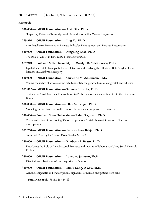#### **2013 Grants (October 1, 2012 – September 30, 2013)**

#### **Research**

#### **\$30,000 — OHSU Foundation — Alain Silk, Ph.D.**

"Repairing Defective Transcriptional Networks to Inhibit Cancer Progression

#### **\$29,996 — OHSU Foundation — Jing Xu, Ph.D.**

Anti-Muüllerian Hormone in Primate Follicular Development and Fertility Preservation

#### **\$30,000 — OHSU Foundation — Ningning Zhao, Ph.D.**

The Role of ZIP14 in HFE related Hemochromatosis

#### **\$29,910 — Portland State University — Marilyn R. Mackiewicz, Ph.D.**

Lipid-Coated Gold Nanoparticles for Detecting and Studying the Effects of Beta Amyloid Conformers on Membrane Integrity

#### **\$30,000 — OHSU Foundation — Christine M. Ackerman, Ph.D.**

Mining the riches of whole exome data to identify the genetic basis of congenital heart disease

#### **\$29,872 — OHSU Foundation — Summer L. Gibbs, Ph.D.**

Synthesis of Small Molecule Fluorophores to Probe Pancreatic Cancer Margins in the Operating Room

#### **\$30,000 — OHSU Foundation — Ellen M. Langer, Ph.D.**

Modeling tumor tissue to predict tumor phenotype and response to treatment

#### **\$30,000 — Portland State University — Rahul Raghavan Ph.D.**

Characterization of non-coding RNAs that promote Cosiella burnetii infection of human macrophages

#### **\$29,760 — OHSU Foundation — Frances Rena Bahjat, Ph.D.**

Stem Cell Therapy for Stroke: Does Gender Matter?

#### **\$30,000 — OHSU Foundation — Kimberly E. Beatty, Ph.D.**

Elucidating the Role of Mycobacterial Esterases and Lipases in Tuberculosis Using Small Molecule Probes

#### **\$30,000 — OHSU Foundation — Lance A. Johnson, Ph.D.**

Diet-induced obesity, ApoE and cognitive dysfunction

#### **\$30,000 — OHSU Foundation — Eunju Kang, D.V.M, Ph.D.**

Genetic, epigenetic and transcriptional signatures of human pluripotent stem cells

#### **Total Research: \$359,538 (84%)**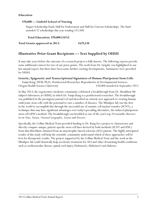#### **Education**

#### **\$70,000 — Linfield School of Nursing**

Paquet Scholarship Fund, Half for Endowment and Half for Current Scholarships. The fund awarded 32 scholarships this year totaling \$32,500.

**Total Education: \$70,000 (16%)**

**Total Grants approved in 2013: \$429,538**

# **Illustrative Prior Grant Recipients — Text Supplied by OHSU**

It may take years before the outcome of a research project is fully known. The following reports provide some additional context for two of our prior grants. The work from Dr. Grigsby was highlighted in our last annual report, but there have been some further exciting developments. Summaries were provided by OHSU.

#### **Genetic, Epigenetic and Transcriptional Signatures of Human Pluripotent Stem Cells**

Eunju Kang, DVM, Ph.D., Postdoctoral Researcher, Reproductive & Developmental Sciences Oregon Health Sciences University \$30,000 awarded in September 2013

In May 2013, the regenerative medicine community celebrated a breakthrough from Dr. Shoukhrat Mitalipov's laboratory at OHSU, in which Dr. Eunju Kang is a postdoctoral researcher. The breakthrough was published in the prestigious journal *Cell* and described an entirely new approach to creating human embryonic stem cells with the potential to cure a number of diseases. The Mitalipov lab was the first in the world to accomplish this through the successful use of somatic cell nuclear transfer (SCNT), a technique that may have significant advantages over today's prevailing alternative, the induced pluripotent stem cell (iPSC) method. The breakthrough was heralded as one of the year's top 10 scientific discoveries in *Time, Nature, National Geographic, Science* and *Discover.*

Specifically, the Collins Medical Trust provided funding to Dr. Kang for a project to characterize and directly compare unique, patient-specific stem cell lines derived by both methods (SCNT and iPSC) from skin fibroblasts obtained from an amyotrophic lateral sclerosis (ALS) patient. The highly anticipated results of this study will help the scientific community understand which of these approaches will be best for therapeutic results. The project supported by the Collins Medical Trust and the work in the Mitalipov lab could drastically help accelerate treatment for ALS and other devastating health conditions such as cardiovascular disease, spinal cord injury, Parkinson's, Alzheimer's and diabetes.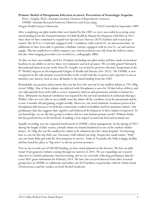#### **Primate Model of Ureaplasma Infection in utero: Prevention of Neurologic Sequelae**

Peta L. Grigsby, Ph.D., Assistant Scientist, Division of Reproductive Sciences, ONPRC Assistant Research Professor, Obstetrics and Gynecology Oregon Health Sciences University \$29,652 awarded in September 2009

After completing our pilot studies that were funded by the CMT, we were successful in securing extramural funding from the National Institute of Child Health & Human Development (NICHD) in 2012. Since then we have continued to expand our Special Care Nursery (SCN) facilities and research personnel. The SCN is a 5-bed unit equipped with 2 ventilators with central O2, air and suction lines. In additional we have been able to purchase a Radiant warmer equipped with its own  $O_2$ , air and suction supply. This has enabled us to safely transport our critical newborns not only from the delivery suites, but also when imaging procedures are needed (i.e., radiographs, MRI).

To date, we have successfully cared for 10 infants (including our pilot study) and have made tremendous headway in our ability to survive these very immature and sick neonates. We recently gained National & International interest in our work when Dr. Grigsby was invited to present a Keynote Symposium at the  $8^{\rm th}$  World Congress on Developmental Origins of Health and Disease (Nov 2013). The ONPRC is now recognized as the only primate research facility in the world with the resources and expertise to run an intensive care nursery such as ours, all thanks to the initial funding from the CMT.

Remarkably, our greatest achievement this year has been the survival of our smallest infants at 270–300g (term=500g). One of these infants was infected with Ureaplasma *in utero* for 20 days before delivery and was subsequently born with mild-to-severe respiratory distress and pneumonia (similar to human babies). Ultimately mechanical ventilation was required for his survival (intubation & surfactant therapy). Within 12hrs we were able to successfully wean the infant off the ventilator, treat his pneumonia and he is now 4 months old and gaining weight steadily. Moreover, our novel antibiotic treatment protocol for Ureaplasma infection *prior* to birth has consistently resulted in healthier and less immature infants. Our preliminary data also suggests that cognitive and behavioral development in these infants is improved. To our knowledge, we are the first group to achieve this in a non-human primate model. Without doubt, this has positioned us at the forefront of making a true impact in maternal-fetal and neonatal care.

Equally rewarding was our expanded involvement in ONPRC colony management. In the Spring of 2013 during the height of baby season, a female infant was found abandoned in one of the outdoor shelter houses. At 240g, she was the smallest live infant to be admitted into the colony hospital. Not knowing how to care for this tiny little one, Veterinary staff enlisted our help. Despite her small stature, "Polly" was one feisty little girl with the determination to survive. Today at 9 months old, Polly is happy, healthy and has found her place as "big sister" to all our preterm neonates.

Now in our second year of NICHD funding, we have much planned on the horizon. We have an additional 10 pregnancies/infants coming through our nursery in 2014. We are expanding our research objectives to include pulmonary function testing, and we are currently collecting preliminary data for a new RO1 grant submission for February 2014. We have also received interest from other research groups here at ONPRC to collaborate and utilize our SCN facilities, in particular with Dr. Kathy Grant (Neuroscience) and her studies on Fetal Alcohol Syndrome.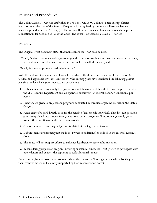# **Policies and Procedures**

The Collins Medical Trust was established in 1956 by Truman W. Collins as a tax-exempt charitable trust under the laws of the State of Oregon. It is recognized by the Internal Revenue Service as tax-exempt under Section  $501(c)(3)$  of the Internal Revenue Code and has been classified as a private foundation under Section 509(a) of the Code. The Trust is directed by a Board of Trustees.

# **Policies**

The Original Trust document states that monies from the Trust shall be used:

"To aid, further, promote, develop, encourage and sponsor research, experiment and work in the cause, cure and treatment of human disease or in any field of medical research, and

To aid, further and promote medical education."

With this statement as a guide, and having knowledge of the desires and concerns of the Trustor, Mr. Collins, and applicable laws, the Trustees over the ensuing years have established the following *general guidelines* under which grant requests are considered:

- 1. Disbursements are made only to organizations which have established their tax-exempt status with the U.S. Treasury Department and are operated exclusively for scientific and/or educational purposes.
- 2. Preference is given to projects and programs conducted by qualified organizations within the State of Oregon.
- 3. Funds cannot be paid directly to or for the benefit of any specific individual. This does not preclude grants to qualified institutions for organized scholarship programs. Education is generally geared toward the education of health care professionals.
- 4. Grants for annual operating budgets or for deficit financing are not favored.
- 5. Disbursements are normally not made to "Private Foundations", as defined in the Internal Revenue Code.
- 6. The Trust will not support efforts to influence legislation or other political action.
- 7. In considering projects or programs involving substantial funds, the Trust prefers to participate with other donors and expects the applicant to seek additional support.

Preference is given to projects or proposals where the researcher/investigator is newly embarking on their research career and is clearly supported by their respective mentor(s).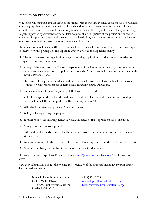# **Submission Procedures**

Requests for information and applications for grants from the Collins Medical Trust should be presented in writing. Applications need not be formal and should include an Executive Summary suitably brief to present the necessary facts about the applying organization and the project for which the grant is being sought, supported by sufficient technical detail to present a clear picture of the project and expected outcomes. Project outcomes should be clearly articulated, along with an evaluation plan that will determine how successful the project was in attaining its objectives.

The application should include (If the Trustees believe further information is required, they may request an interview with a principal of the applicant and/or a visit to the applicant's facility):

- 1. The exact name of the organization or agency making application, and the specific date when requested funds will be required.
- 2. A copy of the letter from the Treasury Department of the United States which grants tax exempt status; also a statement that the applicant is classified as "Not a Private Foundation", as defined in the Internal Revenue Code.
- 3. The nature of the project for which funds are requested. Projects seeking funding for symposiums, seminars or conferences should contain details regarding course evaluations.
- 4. Curriculum vitae of the investigator(s). NIH format is preferred.
- 5. Junior investigators should identify and provide evidence of an established mentor relationship as well as submit a letter of support from their primary mentor(s).
- 6. MD's should substantiate 'protected' time for research.
- 7. Bibliography supporting the project.
- 8. In research projects involving human subjects, the status of IRB approval should be included.
- 9. A budget for the proposed project.
- 10. Estimated total of funds required for the proposed project and the amount sought from the Collins Medical Trust.
- 11. Anticipated source of balance required in excess of funds requested from the Collins Medical Trust.
- 12. Other sources being approached for financial assistance for the project.

Electronic submission (preferred): via email to nhelseth $@$ collinsmedicaltrust.org (.pdf format preferred).

Hard copy submission: Submit the *original and 1 photocopy* of the proposal (including any supporting documentation). Mail to:

> Nancy L. Helseth, Administrator (503) 471-2223 Collins Medical Trust [nhelseth@collinsmedicaltrust.org](mailto:nhelseth@collinsmedicaltrust.org) Portland, OR 97201

1618 S.W. First Avenue, Suite 500 <http://www.collinsmedicaltrust.org/>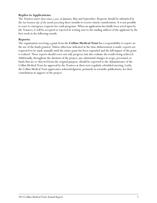#### **Replies to Applications:**

The Trustees meet *three times a year*, in January, May and September. Requests should be submitted by the *last business day of the month preceding* these months to receive timely consideration. It is not possible to react to emergency requests for crash programs. When an application has finally been acted upon by the Trustees, it will be accepted or rejected in writing sent to the mailing address of the applicant by the first week in the following month.

#### **Reports:**

The organization receiving a grant from the **Collins Medical Trust** has a responsibility to report on the use of the funds granted. Unless otherwise indicated at the time disbursement is made, reports are requested to be made annually until the entire grant has been expended and the full impact of the grant is realized. These reports should cover not only progress, but also evaluate the results being achieved. Additionally, throughout the duration of the project, any substantial changes in scope, personnel, or funds that are re-directed from the original purpose, should be reported to the Administrator of the Collins Medical Trust for approval by the Trustees at their next regularly scheduled meeting. Lastly, the Collins Medical Trust appreciates acknowledgment, primarily in scientific publications, for their contribution in support of the project.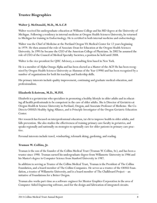# **Trustee Biographies**

#### **Walter J. McDonald, M.D., M.A.C.P.**

Walter received his undergraduate education at Williams College and his MD degree at the University of Michigan. Following a residency in internal medicine at Oregon Health Sciences University, he returned to Michigan for training in Endocrinology. He is certified in both internal medicine and endocrinology.

Walter was the Chief of Medicine at the Portland Oregon VA Medical Center for 12 years beginning in 1979. He then assumed the role of Associate Dean for Education at the Oregon Health Sciences University. In 1995 he became the CEO of the American College of Physicians. In 2002 he assumed the role of CEO of the Council of Medical Specialty Societies, a position he held until 2008.

Walter is the vice president for QHC Advisory, a consulting firm based in New York.

He is a member of Alpha Omega Alpha and has been elected as a Master of the ACP. He has been recognized by Oregon Health Sciences University as Alumnus of the Year (1998) and has been recognized by a number of organizations for both his teaching and leadership skills.

His primary interests include quality improvement, continuing and graduate medical education, and professionalism.

#### **Elizabeth Eckstrom, M.D., M.P.H.**

Elizabeth is a geriatrician who specializes in promoting a healthy lifestyle in older adults and in educating all health professionals to be competent in the care of older adults. She is Director of Geriatrics at Oregon Health & Science University in Portland, Oregon, and Associate Professor of Medicine. She Co-Directs OHSU's Healthy Aging Alliance, and is Principle Investigator of the Oregon Geriatric Education Center.

Her research has focused on interprofessional education, tai chi to improve health in older adults, and falls prevention. She also studies the effectiveness of training primary care faculty in geriatrics, and speaks regionally and nationally on strategies to optimally care for older patients in primary care practice.

Personal interests include travel, windsurfing, telemark skiing, gardening, and reading.

#### **Truman W. Collins, Jr.**

Truman is the son of the founder of the Collins Medical Trust (Truman W. Collins, Sr.), and has been a trustee since 1990. Truman earned his undergraduate degree from Willamette University in 1986 and his Master's degree in Computer Science from Stanford University in 1987.

In addition to serving as Trustee of the Collins Medical Trust, Truman is the President of The Collins Foundation, and a board member of The Collins Companies. He serves as a trustee of the OHSU Foundation, a trustee of Willamette University, and is a board member of The Chalkboard Project—an initiative of Foundations for a Better Oregon.

Truman also works part-time as a software engineer for Mentor Graphics Corporation in the area of Computer Aided Engineering software, used for the design and fabrication of integrated circuits.